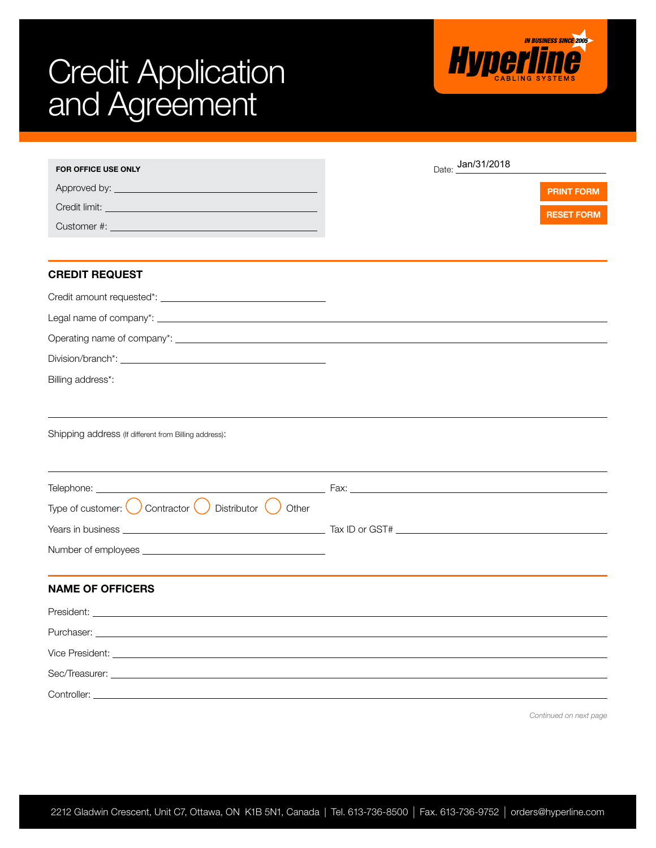## Credit Application and Agreement



| <b>FOR OFFICE USE ONLY</b>                                                   | Date: Jan/31/2018      |
|------------------------------------------------------------------------------|------------------------|
|                                                                              | <b>PRINT FORM</b>      |
|                                                                              | <b>RESET FORM</b>      |
|                                                                              |                        |
| <b>CREDIT REQUEST</b>                                                        |                        |
|                                                                              |                        |
|                                                                              |                        |
|                                                                              |                        |
|                                                                              |                        |
| Billing address*:                                                            |                        |
| Shipping address (If different from Billing address):                        |                        |
| Type of customer: $\bigcup$ Contractor $\bigcup$ Distributor $\bigcup$ Other |                        |
|                                                                              |                        |
|                                                                              |                        |
| <b>NAME OF OFFICERS</b>                                                      |                        |
|                                                                              |                        |
|                                                                              |                        |
|                                                                              |                        |
|                                                                              |                        |
|                                                                              |                        |
|                                                                              | Continued on next page |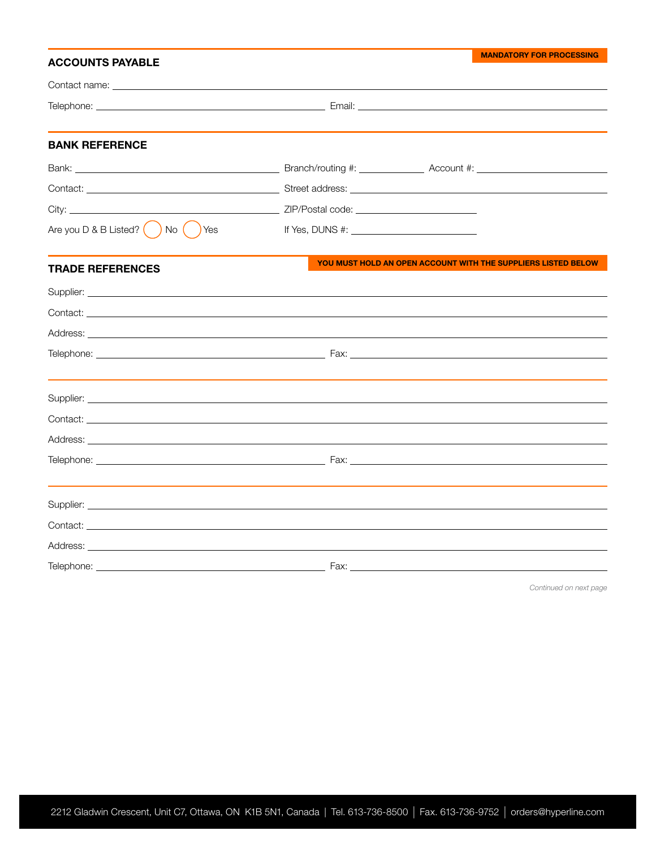| <b>ACCOUNTS PAYABLE</b><br><b>BANK REFERENCE</b><br>Branch/routing #: ________________________ Account #: __________________________<br>Are you D & B Listed? $($ ) No $($<br>$\sum$<br>YOU MUST HOLD AN OPEN ACCOUNT WITH THE SUPPLIERS LISTED BELOW<br><b>TRADE REFERENCES</b> | <b>MANDATORY FOR PROCESSING</b> |  |
|----------------------------------------------------------------------------------------------------------------------------------------------------------------------------------------------------------------------------------------------------------------------------------|---------------------------------|--|
|                                                                                                                                                                                                                                                                                  |                                 |  |
|                                                                                                                                                                                                                                                                                  |                                 |  |
|                                                                                                                                                                                                                                                                                  |                                 |  |
|                                                                                                                                                                                                                                                                                  |                                 |  |
|                                                                                                                                                                                                                                                                                  |                                 |  |
|                                                                                                                                                                                                                                                                                  |                                 |  |
|                                                                                                                                                                                                                                                                                  |                                 |  |
|                                                                                                                                                                                                                                                                                  |                                 |  |
|                                                                                                                                                                                                                                                                                  |                                 |  |
|                                                                                                                                                                                                                                                                                  |                                 |  |
|                                                                                                                                                                                                                                                                                  |                                 |  |
|                                                                                                                                                                                                                                                                                  |                                 |  |
|                                                                                                                                                                                                                                                                                  |                                 |  |
|                                                                                                                                                                                                                                                                                  |                                 |  |
|                                                                                                                                                                                                                                                                                  |                                 |  |
|                                                                                                                                                                                                                                                                                  |                                 |  |
|                                                                                                                                                                                                                                                                                  |                                 |  |
|                                                                                                                                                                                                                                                                                  |                                 |  |
|                                                                                                                                                                                                                                                                                  |                                 |  |
|                                                                                                                                                                                                                                                                                  |                                 |  |
|                                                                                                                                                                                                                                                                                  |                                 |  |
| Contact: the contract of the contract of the contract of the contract of the contract of the contract of the contract of the contract of the contract of the contract of the contract of the contract of the contract of the c                                                   |                                 |  |
|                                                                                                                                                                                                                                                                                  |                                 |  |
|                                                                                                                                                                                                                                                                                  |                                 |  |

*Continued on next page*